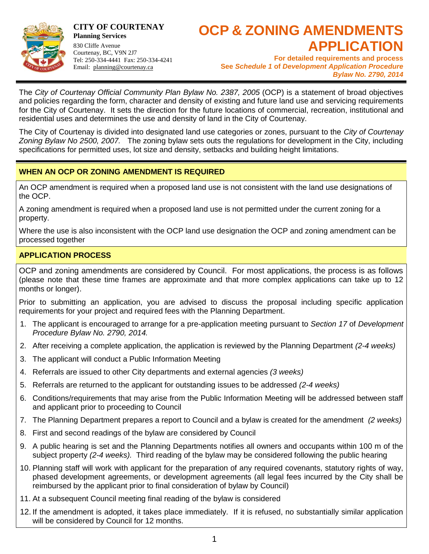

**CITY OF COURTENAY Planning Services** 830 Cliffe Avenue Courtenay, BC, V9N 2J7 Tel: 250-334-4441 Fax: 250-334-4241 Email: planning@courtenay.ca

# **OCP & ZONING AMENDMENTS APPLICATION**

**For detailed requirements and process See** *Schedule 1* **of** *Development Application Procedure Bylaw No. 2790, 2014*

The *City of Courtenay Official Community Plan Bylaw No. 2387, 2005* (OCP) is a statement of broad objectives and policies regarding the form, character and density of existing and future land use and servicing requirements for the City of Courtenay. It sets the direction for the future locations of commercial, recreation, institutional and residential uses and determines the use and density of land in the City of Courtenay.

The City of Courtenay is divided into designated land use categories or zones, pursuant to the *City of Courtenay Zoning Bylaw No 2500, 2007.* The zoning bylaw sets outs the regulations for development in the City, including specifications for permitted uses, lot size and density, setbacks and building height limitations.

#### **WHEN AN OCP OR ZONING AMENDMENT IS REQUIRED**

An OCP amendment is required when a proposed land use is not consistent with the land use designations of the OCP.

A zoning amendment is required when a proposed land use is not permitted under the current zoning for a property.

Where the use is also inconsistent with the OCP land use designation the OCP and zoning amendment can be processed together

#### **APPLICATION PROCESS**

OCP and zoning amendments are considered by Council. For most applications, the process is as follows (please note that these time frames are approximate and that more complex applications can take up to 12 months or longer).

Prior to submitting an application, you are advised to discuss the proposal including specific application requirements for your project and required fees with the Planning Department.

- 1. The applicant is encouraged to arrange for a pre-application meeting pursuant to *Section 17* of *Development Procedure Bylaw No. 2790, 2014.*
- 2. After receiving a complete application, the application is reviewed by the Planning Department *(2-4 weeks)*
- 3. The applicant will conduct a Public Information Meeting
- 4. Referrals are issued to other City departments and external agencies *(3 weeks)*
- 5. Referrals are returned to the applicant for outstanding issues to be addressed *(2-4 weeks)*
- 6. Conditions/requirements that may arise from the Public Information Meeting will be addressed between staff and applicant prior to proceeding to Council
- 7. The Planning Department prepares a report to Council and a bylaw is created for the amendment *(2 weeks)*
- 8. First and second readings of the bylaw are considered by Council
- 9. A public hearing is set and the Planning Departments notifies all owners and occupants within 100 m of the subject property *(2-4 weeks).* Third reading of the bylaw may be considered following the public hearing
- 10. Planning staff will work with applicant for the preparation of any required covenants, statutory rights of way, phased development agreements, or development agreements (all legal fees incurred by the City shall be reimbursed by the applicant prior to final consideration of bylaw by Council)
- 11. At a subsequent Council meeting final reading of the bylaw is considered
- 12. If the amendment is adopted, it takes place immediately. If it is refused, no substantially similar application will be considered by Council for 12 months.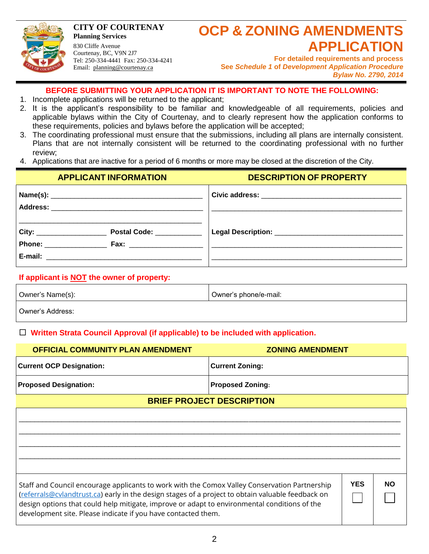

**CITY OF COURTENAY Planning Services** 830 Cliffe Avenue Courtenay, BC, V9N 2J7 Tel: 250-334-4441 Fax: 250-334-4241 Email: planning@courtenay.ca

# **OCP & ZONING AMENDMENTS APPLICATION**

**For detailed requirements and process See** *Schedule 1* **of** *Development Application Procedure Bylaw No. 2790, 2014*

#### **BEFORE SUBMITTING YOUR APPLICATION IT IS IMPORTANT TO NOTE THE FOLLOWING:**

- 1. Incomplete applications will be returned to the applicant;
- 2. It is the applicant's responsibility to be familiar and knowledgeable of all requirements, policies and applicable bylaws within the City of Courtenay, and to clearly represent how the application conforms to these requirements, policies and bylaws before the application will be accepted;
- 3. The coordinating professional must ensure that the submissions, including all plans are internally consistent. Plans that are not internally consistent will be returned to the coordinating professional with no further review;
- 4. Applications that are inactive for a period of 6 months or more may be closed at the discretion of the City.

| <b>APPLICANT INFORMATION</b> | <b>DESCRIPTION OF PROPERTY</b> |
|------------------------------|--------------------------------|
|                              |                                |
|                              |                                |

#### **If applicant is NOT the owner of property:**

| Owner's Name(s): | Owner's phone/e-mail: |
|------------------|-----------------------|
| Owner's Address: |                       |

## **Written Strata Council Approval (if applicable) to be included with application.**

| <b>OFFICIAL COMMUNITY PLAN AMENDMENT</b>                                                                                                                                                                                                                                                                                                                                                       | <b>ZONING AMENDMENT</b>          |  |  |
|------------------------------------------------------------------------------------------------------------------------------------------------------------------------------------------------------------------------------------------------------------------------------------------------------------------------------------------------------------------------------------------------|----------------------------------|--|--|
| <b>Current OCP Designation:</b>                                                                                                                                                                                                                                                                                                                                                                | <b>Current Zoning:</b>           |  |  |
| <b>Proposed Designation:</b>                                                                                                                                                                                                                                                                                                                                                                   | <b>Proposed Zoning:</b>          |  |  |
|                                                                                                                                                                                                                                                                                                                                                                                                | <b>BRIEF PROJECT DESCRIPTION</b> |  |  |
|                                                                                                                                                                                                                                                                                                                                                                                                |                                  |  |  |
| <b>YES</b><br><b>NO</b><br>Staff and Council encourage applicants to work with the Comox Valley Conservation Partnership<br>(referrals@cvlandtrust.ca) early in the design stages of a project to obtain valuable feedback on<br>design options that could help mitigate, improve or adapt to environmental conditions of the<br>development site. Please indicate if you have contacted them. |                                  |  |  |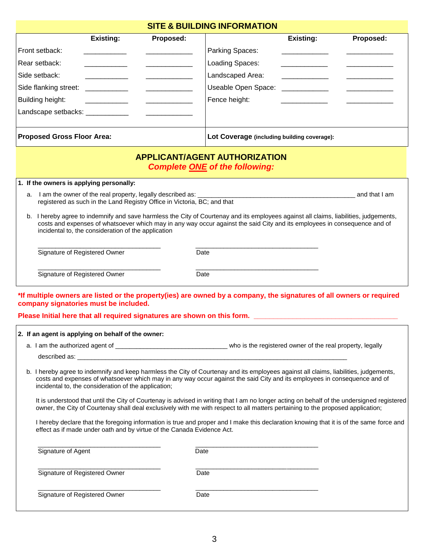| <b>SITE &amp; BUILDING INFORMATION</b>                                                                                                                                                                                                                                                                                       |                                            |                                             |                                                                                                                                                                                                                                      |           |
|------------------------------------------------------------------------------------------------------------------------------------------------------------------------------------------------------------------------------------------------------------------------------------------------------------------------------|--------------------------------------------|---------------------------------------------|--------------------------------------------------------------------------------------------------------------------------------------------------------------------------------------------------------------------------------------|-----------|
| <b>Existing:</b>                                                                                                                                                                                                                                                                                                             | Proposed:                                  |                                             | <b>Existing:</b>                                                                                                                                                                                                                     | Proposed: |
| Front setback:                                                                                                                                                                                                                                                                                                               |                                            | Parking Spaces:                             |                                                                                                                                                                                                                                      |           |
| Rear setback:<br>and the control of the con-                                                                                                                                                                                                                                                                                 | <u> 1989 - Johann Barbara, martin basa</u> | Loading Spaces:                             |                                                                                                                                                                                                                                      |           |
| Side setback:                                                                                                                                                                                                                                                                                                                |                                            | Landscaped Area:                            |                                                                                                                                                                                                                                      |           |
| Side flanking street: ____________                                                                                                                                                                                                                                                                                           | <u> 1989 - Johann Barbara, martin a</u>    | Useable Open Space:                         | <b>Contract Contract Contract Contract Contract Contract Contract Contract Contract Contract Contract Contract Contract Contract Contract Contract Contract Contract Contract Contract Contract Contract Contract Contract Contr</b> |           |
| Building height:                                                                                                                                                                                                                                                                                                             |                                            | Fence height:                               |                                                                                                                                                                                                                                      |           |
| Landscape setbacks: ____________                                                                                                                                                                                                                                                                                             |                                            |                                             |                                                                                                                                                                                                                                      |           |
|                                                                                                                                                                                                                                                                                                                              |                                            |                                             |                                                                                                                                                                                                                                      |           |
| <b>Proposed Gross Floor Area:</b>                                                                                                                                                                                                                                                                                            |                                            | Lot Coverage (including building coverage): |                                                                                                                                                                                                                                      |           |
| <b>APPLICANT/AGENT AUTHORIZATION</b><br><b>Complete ONE of the following:</b>                                                                                                                                                                                                                                                |                                            |                                             |                                                                                                                                                                                                                                      |           |
| 1. If the owners is applying personally:                                                                                                                                                                                                                                                                                     |                                            |                                             |                                                                                                                                                                                                                                      |           |
| I am the owner of the real property, legally described as:<br>a.<br>registered as such in the Land Registry Office in Victoria, BC; and that                                                                                                                                                                                 |                                            |                                             |                                                                                                                                                                                                                                      |           |
| I hereby agree to indemnify and save harmless the City of Courtenay and its employees against all claims, liabilities, judgements,<br>b.<br>costs and expenses of whatsoever which may in any way occur against the said City and its employees in consequence and of<br>incidental to, the consideration of the application |                                            |                                             |                                                                                                                                                                                                                                      |           |
| Signature of Registered Owner                                                                                                                                                                                                                                                                                                |                                            | Date                                        |                                                                                                                                                                                                                                      |           |
| Signature of Registered Owner                                                                                                                                                                                                                                                                                                |                                            | Date                                        |                                                                                                                                                                                                                                      |           |
| *If multiple owners are listed or the property(ies) are owned by a company, the signatures of all owners or required<br>company signatories must be included.<br>Please Initial here that all required signatures are shown on this form. ___________________________                                                        |                                            |                                             |                                                                                                                                                                                                                                      |           |
| 2. If an agent is applying on behalf of the owner:                                                                                                                                                                                                                                                                           |                                            |                                             |                                                                                                                                                                                                                                      |           |
|                                                                                                                                                                                                                                                                                                                              |                                            |                                             |                                                                                                                                                                                                                                      |           |
| b. I hereby agree to indemnify and keep harmless the City of Courtenay and its employees against all claims, liabilities, judgements,<br>costs and expenses of whatsoever which may in any way occur against the said City and its employees in consequence and of<br>incidental to, the consideration of the application;   |                                            |                                             |                                                                                                                                                                                                                                      |           |
| It is understood that until the City of Courtenay is advised in writing that I am no longer acting on behalf of the undersigned registered<br>owner, the City of Courtenay shall deal exclusively with me with respect to all matters pertaining to the proposed application;                                                |                                            |                                             |                                                                                                                                                                                                                                      |           |
| I hereby declare that the foregoing information is true and proper and I make this declaration knowing that it is of the same force and<br>effect as if made under oath and by virtue of the Canada Evidence Act.                                                                                                            |                                            |                                             |                                                                                                                                                                                                                                      |           |
| Signature of Agent                                                                                                                                                                                                                                                                                                           |                                            | Date                                        |                                                                                                                                                                                                                                      |           |
| Signature of Registered Owner                                                                                                                                                                                                                                                                                                |                                            | Date                                        |                                                                                                                                                                                                                                      |           |
| Signature of Registered Owner                                                                                                                                                                                                                                                                                                |                                            | Date                                        |                                                                                                                                                                                                                                      |           |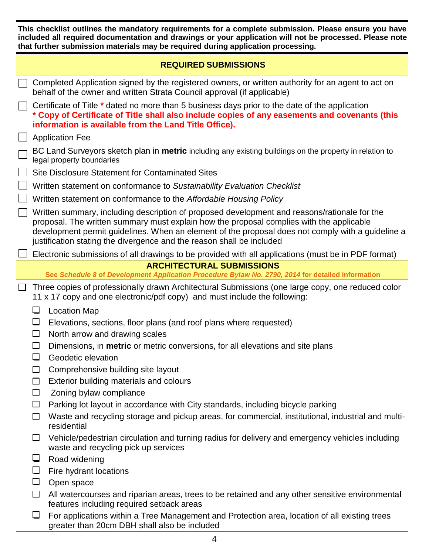**This checklist outlines the mandatory requirements for a complete submission. Please ensure you have included all required documentation and drawings or your application will not be processed. Please note that further submission materials may be required during application processing.**

|        |        | Completed Application signed by the registered owners, or written authority for an agent to act on<br>behalf of the owner and written Strata Council approval (if applicable)                                                                                                                                                                                          |
|--------|--------|------------------------------------------------------------------------------------------------------------------------------------------------------------------------------------------------------------------------------------------------------------------------------------------------------------------------------------------------------------------------|
|        |        | Certificate of Title * dated no more than 5 business days prior to the date of the application<br>* Copy of Certificate of Title shall also include copies of any easements and covenants (this<br>information is available from the Land Title Office).                                                                                                               |
|        |        | <b>Application Fee</b>                                                                                                                                                                                                                                                                                                                                                 |
|        |        | BC Land Surveyors sketch plan in <b>metric</b> including any existing buildings on the property in relation to<br>legal property boundaries                                                                                                                                                                                                                            |
|        |        | <b>Site Disclosure Statement for Contaminated Sites</b>                                                                                                                                                                                                                                                                                                                |
|        |        | Written statement on conformance to Sustainability Evaluation Checklist                                                                                                                                                                                                                                                                                                |
|        |        | Written statement on conformance to the Affordable Housing Policy                                                                                                                                                                                                                                                                                                      |
|        |        | Written summary, including description of proposed development and reasons/rationale for the<br>proposal. The written summary must explain how the proposal complies with the applicable<br>development permit guidelines. When an element of the proposal does not comply with a guideline a<br>justification stating the divergence and the reason shall be included |
|        |        | Electronic submissions of all drawings to be provided with all applications (must be in PDF format)                                                                                                                                                                                                                                                                    |
|        |        | <b>ARCHITECTURAL SUBMISSIONS</b><br>See Schedule 8 of Development Application Procedure Bylaw No. 2790, 2014 for detailed information                                                                                                                                                                                                                                  |
|        |        |                                                                                                                                                                                                                                                                                                                                                                        |
| $\Box$ |        | Three copies of professionally drawn Architectural Submissions (one large copy, one reduced color<br>11 x 17 copy and one electronic/pdf copy) and must include the following:                                                                                                                                                                                         |
|        | ❏      | <b>Location Map</b>                                                                                                                                                                                                                                                                                                                                                    |
|        | $\Box$ | Elevations, sections, floor plans (and roof plans where requested)                                                                                                                                                                                                                                                                                                     |
|        | □      | North arrow and drawing scales                                                                                                                                                                                                                                                                                                                                         |
|        | $\Box$ | Dimensions, in <b>metric</b> or metric conversions, for all elevations and site plans                                                                                                                                                                                                                                                                                  |
|        | $\Box$ | Geodetic elevation                                                                                                                                                                                                                                                                                                                                                     |
|        | □      | Comprehensive building site layout                                                                                                                                                                                                                                                                                                                                     |
|        | $\Box$ | Exterior building materials and colours                                                                                                                                                                                                                                                                                                                                |
|        | $\Box$ | Zoning bylaw compliance                                                                                                                                                                                                                                                                                                                                                |
|        | $\Box$ | Parking lot layout in accordance with City standards, including bicycle parking                                                                                                                                                                                                                                                                                        |
|        | ப      | Waste and recycling storage and pickup areas, for commercial, institutional, industrial and multi-<br>residential                                                                                                                                                                                                                                                      |
|        | $\Box$ | Vehicle/pedestrian circulation and turning radius for delivery and emergency vehicles including<br>waste and recycling pick up services                                                                                                                                                                                                                                |
|        | ⊔      | Road widening                                                                                                                                                                                                                                                                                                                                                          |
|        | ⊔      | Fire hydrant locations                                                                                                                                                                                                                                                                                                                                                 |
|        | ⊔      | Open space                                                                                                                                                                                                                                                                                                                                                             |
|        | $\Box$ | All watercourses and riparian areas, trees to be retained and any other sensitive environmental<br>features including required setback areas                                                                                                                                                                                                                           |
|        | ⊔      | For applications within a Tree Management and Protection area, location of all existing trees<br>greater than 20cm DBH shall also be included                                                                                                                                                                                                                          |